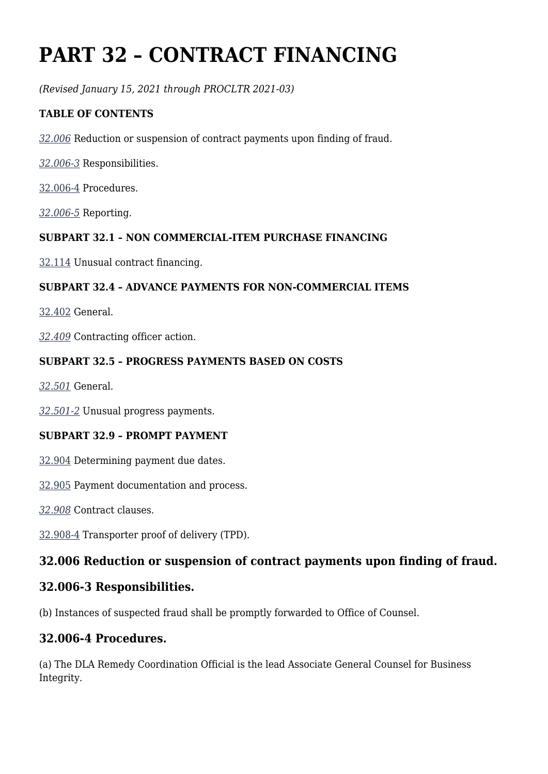# **PART 32 – CONTRACT FINANCING**

*(Revised January 15, 2021 through PROCLTR 2021-03)*

### **TABLE OF CONTENTS**

*[32.006](https://www.acquisition.gov/%5Brp:link:dlad-part-32%5D#P32_006)* Reduction or suspension of contract payments upon finding of fraud.

*[32.006‑3](https://www.acquisition.gov/%5Brp:link:dlad-part-32%5D#P32_006_3)* Responsibilities.

[32.006-4](https://www.acquisition.gov/%5Brp:link:dlad-part-32%5D#P32_006_4) Procedures.

*[32.006‑5](https://www.acquisition.gov/%5Brp:link:dlad-part-32%5D#P32_006_5)* Reporting.

### **SUBPART 32.1 – NON COMMERCIAL-ITEM PURCHASE FINANCING**

[32.114](https://www.acquisition.gov/%5Brp:link:dlad-part-32%5D#P32_114) Unusual contract financing.

### **SUBPART 32.4 – ADVANCE PAYMENTS FOR NON‑COMMERCIAL ITEMS**

[32.402](https://www.acquisition.gov/%5Brp:link:dlad-part-32%5D#P32_402) General.

*[32.409](https://www.acquisition.gov/%5Brp:link:dlad-part-32%5D#P32_409)* Contracting officer action.

#### **SUBPART 32.5 – PROGRESS PAYMENTS BASED ON COSTS**

*[32.501](https://www.acquisition.gov/%5Brp:link:dlad-part-32%5D#P32_501)* General.

*[32.501-2](https://www.acquisition.gov/%5Brp:link:dlad-part-32%5D#P32_501_2)* Unusual progress payments.

#### **SUBPART 32.9 – PROMPT PAYMENT**

[32.904](https://www.acquisition.gov/%5Brp:link:dlad-part-32%5D#P32_904) Determining payment due dates.

[32.905](https://www.acquisition.gov/%5Brp:link:dlad-part-32%5D#P32_905) Payment documentation and process.

*[32.908](https://www.acquisition.gov/%5Brp:link:dlad-part-32%5D#P32_908)* Contract clauses.

[32.908-4](https://www.acquisition.gov/%5Brp:link:dlad-part-32%5D#P32_908) Transporter proof of delivery (TPD).

### **32.006 Reduction or suspension of contract payments upon finding of fraud.**

### **32.006-3 Responsibilities.**

(b) Instances of suspected fraud shall be promptly forwarded to Office of Counsel.

### **32.006-4 Procedures.**

(a) The DLA Remedy Coordination Official is the lead Associate General Counsel for Business Integrity.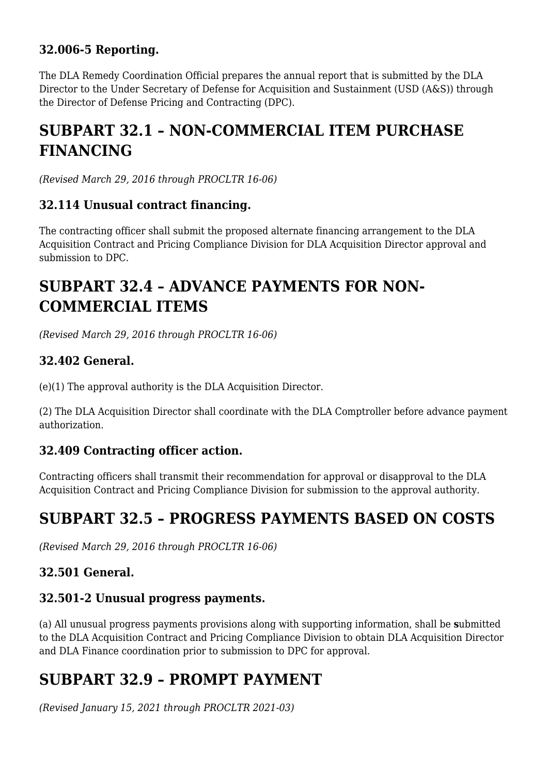## **32.006-5 Reporting.**

The DLA Remedy Coordination Official prepares the annual report that is submitted by the DLA Director to the Under Secretary of Defense for Acquisition and Sustainment (USD (A&S)) through the Director of Defense Pricing and Contracting (DPC).

# **SUBPART 32.1 – NON-COMMERCIAL ITEM PURCHASE FINANCING**

*(Revised March 29, 2016 through PROCLTR 16-06)*

### **32.114 Unusual contract financing.**

The contracting officer shall submit the proposed alternate financing arrangement to the DLA Acquisition Contract and Pricing Compliance Division for DLA Acquisition Director approval and submission to DPC.

# **SUBPART 32.4 – ADVANCE PAYMENTS FOR NON-COMMERCIAL ITEMS**

*(Revised March 29, 2016 through PROCLTR 16-06)*

## **32.402 General.**

(e)(1) The approval authority is the DLA Acquisition Director.

(2) The DLA Acquisition Director shall coordinate with the DLA Comptroller before advance payment authorization.

### **32.409 Contracting officer action.**

Contracting officers shall transmit their recommendation for approval or disapproval to the DLA Acquisition Contract and Pricing Compliance Division for submission to the approval authority.

# **SUBPART 32.5 – PROGRESS PAYMENTS BASED ON COSTS**

*(Revised March 29, 2016 through PROCLTR 16-06)*

# **32.501 General.**

### **32.501-2 Unusual progress payments.**

(a) All unusual progress payments provisions along with supporting information, shall be **s**ubmitted to the DLA Acquisition Contract and Pricing Compliance Division to obtain DLA Acquisition Director and DLA Finance coordination prior to submission to DPC for approval.

# **SUBPART 32.9 – PROMPT PAYMENT**

*(Revised January 15, 2021 through PROCLTR 2021-03)*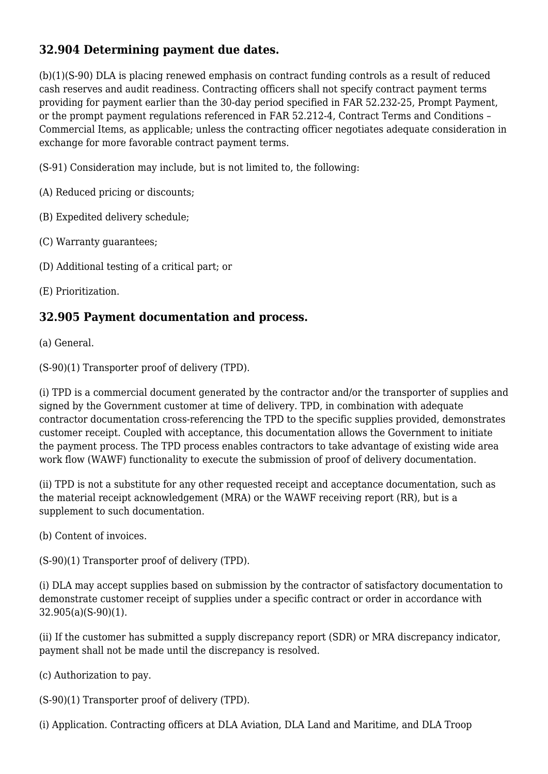# **32.904 Determining payment due dates.**

(b)(1)(S-90) DLA is placing renewed emphasis on contract funding controls as a result of reduced cash reserves and audit readiness. Contracting officers shall not specify contract payment terms providing for payment earlier than the 30-day period specified in FAR 52.232-25, Prompt Payment, or the prompt payment regulations referenced in FAR 52.212-4, Contract Terms and Conditions – Commercial Items, as applicable; unless the contracting officer negotiates adequate consideration in exchange for more favorable contract payment terms.

(S-91) Consideration may include, but is not limited to, the following:

(A) Reduced pricing or discounts;

(B) Expedited delivery schedule;

(C) Warranty guarantees;

(D) Additional testing of a critical part; or

(E) Prioritization.

### **32.905 Payment documentation and process.**

(a) General.

(S-90)(1) Transporter proof of delivery (TPD).

(i) TPD is a commercial document generated by the contractor and/or the transporter of supplies and signed by the Government customer at time of delivery. TPD, in combination with adequate contractor documentation cross-referencing the TPD to the specific supplies provided, demonstrates customer receipt. Coupled with acceptance, this documentation allows the Government to initiate the payment process. The TPD process enables contractors to take advantage of existing wide area work flow (WAWF) functionality to execute the submission of proof of delivery documentation.

(ii) TPD is not a substitute for any other requested receipt and acceptance documentation, such as the material receipt acknowledgement (MRA) or the WAWF receiving report (RR), but is a supplement to such documentation.

(b) Content of invoices.

(S-90)(1) Transporter proof of delivery (TPD).

(i) DLA may accept supplies based on submission by the contractor of satisfactory documentation to demonstrate customer receipt of supplies under a specific contract or order in accordance with 32.905(a)(S-90)(1).

(ii) If the customer has submitted a supply discrepancy report (SDR) or MRA discrepancy indicator, payment shall not be made until the discrepancy is resolved.

(c) Authorization to pay.

(S-90)(1) Transporter proof of delivery (TPD).

(i) Application. Contracting officers at DLA Aviation, DLA Land and Maritime, and DLA Troop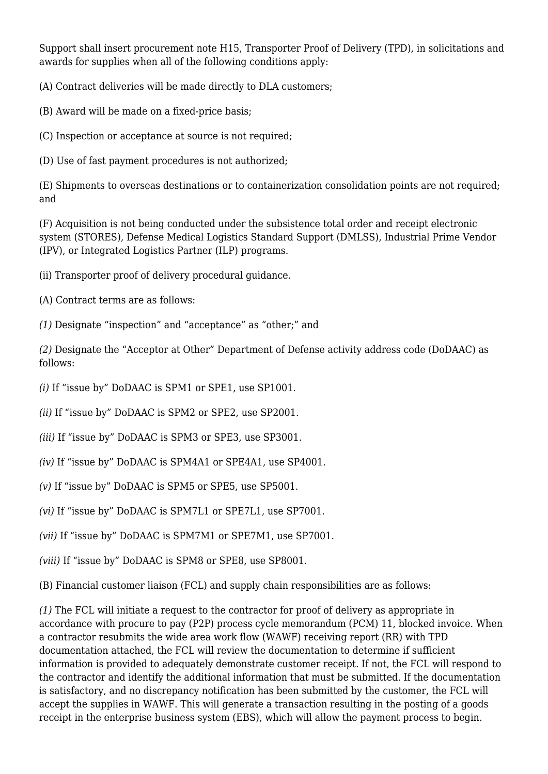Support shall insert procurement note H15, Transporter Proof of Delivery (TPD), in solicitations and awards for supplies when all of the following conditions apply:

(A) Contract deliveries will be made directly to DLA customers;

(B) Award will be made on a fixed-price basis;

(C) Inspection or acceptance at source is not required;

(D) Use of fast payment procedures is not authorized;

(E) Shipments to overseas destinations or to containerization consolidation points are not required; and

(F) Acquisition is not being conducted under the subsistence total order and receipt electronic system (STORES), Defense Medical Logistics Standard Support (DMLSS), Industrial Prime Vendor (IPV), or Integrated Logistics Partner (ILP) programs.

- (ii) Transporter proof of delivery procedural guidance.
- (A) Contract terms are as follows:
- *(1)* Designate "inspection" and "acceptance" as "other;" and

*(2)* Designate the "Acceptor at Other" Department of Defense activity address code (DoDAAC) as follows:

- *(i)* If "issue by" DoDAAC is SPM1 or SPE1, use SP1001.
- *(ii)* If "issue by" DoDAAC is SPM2 or SPE2, use SP2001.
- *(iii)* If "issue by" DoDAAC is SPM3 or SPE3, use SP3001.
- *(iv)* If "issue by" DoDAAC is SPM4A1 or SPE4A1, use SP4001.
- *(v)* If "issue by" DoDAAC is SPM5 or SPE5, use SP5001.
- *(vi)* If "issue by" DoDAAC is SPM7L1 or SPE7L1, use SP7001.
- *(vii)* If "issue by" DoDAAC is SPM7M1 or SPE7M1, use SP7001.
- *(viii)* If "issue by" DoDAAC is SPM8 or SPE8, use SP8001.

(B) Financial customer liaison (FCL) and supply chain responsibilities are as follows:

*(1)* The FCL will initiate a request to the contractor for proof of delivery as appropriate in accordance with procure to pay (P2P) process cycle memorandum (PCM) 11, blocked invoice. When a contractor resubmits the wide area work flow (WAWF) receiving report (RR) with TPD documentation attached, the FCL will review the documentation to determine if sufficient information is provided to adequately demonstrate customer receipt. If not, the FCL will respond to the contractor and identify the additional information that must be submitted. If the documentation is satisfactory, and no discrepancy notification has been submitted by the customer, the FCL will accept the supplies in WAWF. This will generate a transaction resulting in the posting of a goods receipt in the enterprise business system (EBS), which will allow the payment process to begin.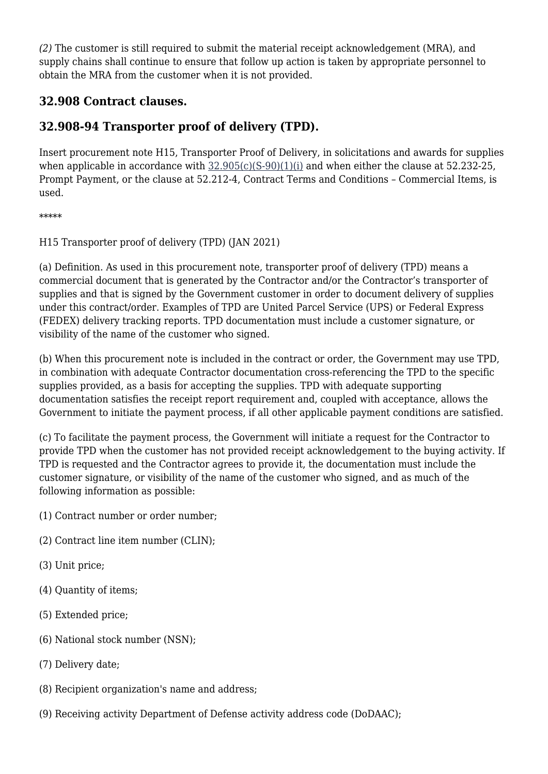*(2)* The customer is still required to submit the material receipt acknowledgement (MRA), and supply chains shall continue to ensure that follow up action is taken by appropriate personnel to obtain the MRA from the customer when it is not provided.

## **32.908 Contract clauses.**

# **32.908-94 Transporter proof of delivery (TPD).**

Insert procurement note H15, Transporter Proof of Delivery, in solicitations and awards for supplies when applicable in accordance with  $32.905(c)(S-90)(1)(i)$  and when either the clause at 52.232-25, Prompt Payment, or the clause at 52.212-4, Contract Terms and Conditions – Commercial Items, is used.

\*\*\*\*\*

H15 Transporter proof of delivery (TPD) (JAN 2021)

(a) Definition. As used in this procurement note, transporter proof of delivery (TPD) means a commercial document that is generated by the Contractor and/or the Contractor's transporter of supplies and that is signed by the Government customer in order to document delivery of supplies under this contract/order. Examples of TPD are United Parcel Service (UPS) or Federal Express (FEDEX) delivery tracking reports. TPD documentation must include a customer signature, or visibility of the name of the customer who signed.

(b) When this procurement note is included in the contract or order, the Government may use TPD, in combination with adequate Contractor documentation cross-referencing the TPD to the specific supplies provided, as a basis for accepting the supplies. TPD with adequate supporting documentation satisfies the receipt report requirement and, coupled with acceptance, allows the Government to initiate the payment process, if all other applicable payment conditions are satisfied.

(c) To facilitate the payment process, the Government will initiate a request for the Contractor to provide TPD when the customer has not provided receipt acknowledgement to the buying activity. If TPD is requested and the Contractor agrees to provide it, the documentation must include the customer signature, or visibility of the name of the customer who signed, and as much of the following information as possible:

- (1) Contract number or order number;
- (2) Contract line item number (CLIN);
- (3) Unit price;
- (4) Quantity of items;
- (5) Extended price;
- (6) National stock number (NSN);
- (7) Delivery date;
- (8) Recipient organization's name and address;
- (9) Receiving activity Department of Defense activity address code (DoDAAC);